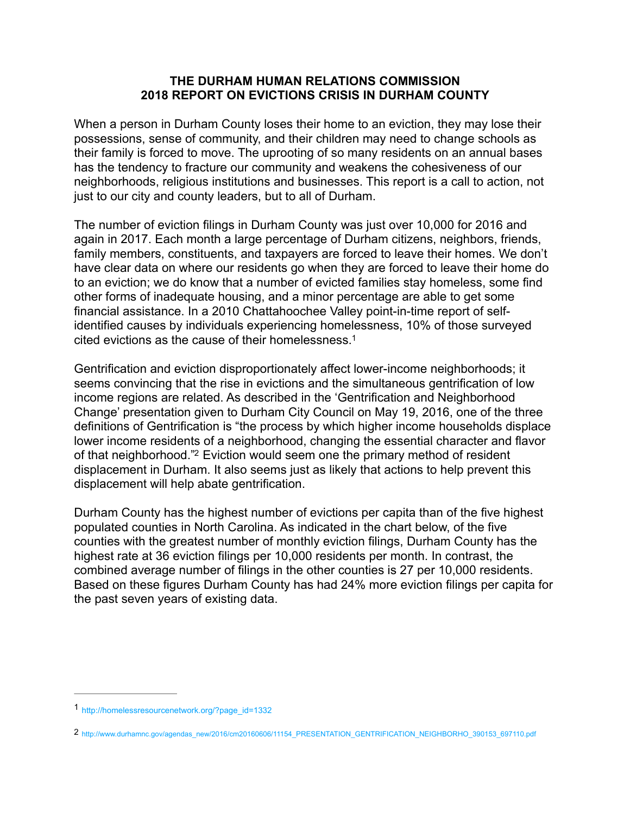#### **THE DURHAM HUMAN RELATIONS COMMISSION 2018 REPORT ON EVICTIONS CRISIS IN DURHAM COUNTY**

When a person in Durham County loses their home to an eviction, they may lose their possessions, sense of community, and their children may need to change schools as their family is forced to move. The uprooting of so many residents on an annual bases has the tendency to fracture our community and weakens the cohesiveness of our neighborhoods, religious institutions and businesses. This report is a call to action, not just to our city and county leaders, but to all of Durham.

The number of eviction filings in Durham County was just over 10,000 for 2016 and again in 2017. Each month a large percentage of Durham citizens, neighbors, friends, family members, constituents, and taxpayers are forced to leave their homes. We don't have clear data on where our residents go when they are forced to leave their home do to an eviction; we do know that a number of evicted families stay homeless, some find other forms of inadequate housing, and a minor percentage are able to get some financial assistance. In a 2010 Chattahoochee Valley point-in-time report of selfidentified causes by individuals experiencing homelessness, 10% of those surveyed cited evictions as the cause of their homelessness[.1](#page-0-0)

<span id="page-0-2"></span>Gentrification and eviction disproportionately affect lower-income neighborhoods; it seems convincing that the rise in evictions and the simultaneous gentrification of low income regions are related. As described in the 'Gentrification and Neighborhood Change' presentation given to Durham City Council on May 19, 2016, one of the three definitions of Gentrification is "the process by which higher income households displace lower income residents of a neighborhood, changing the essential character and flavor of that neighborhood."<sup>[2](#page-0-1)</sup> Eviction would seem one the primary method of resident displacement in Durham. It also seems just as likely that actions to help prevent this displacement will help abate gentrification.

<span id="page-0-3"></span>Durham County has the highest number of evictions per capita than of the five highest populated counties in North Carolina. As indicated in the chart below, of the five counties with the greatest number of monthly eviction filings, Durham County has the highest rate at 36 eviction filings per 10,000 residents per month. In contrast, the combined average number of filings in the other counties is 27 per 10,000 residents. Based on these figures Durham County has had 24% more eviction filings per capita for the past seven years of existing data.

<span id="page-0-0"></span>[<sup>1</sup>](#page-0-2) http://homelessresourcenetwork.org/?page\_id=1332

<span id="page-0-1"></span>[<sup>2</sup>](#page-0-3) http://www.durhamnc.gov/agendas\_new/2016/cm20160606/11154\_PRESENTATION\_GENTRIFICATION\_NEIGHBORHO\_390153\_697110.pdf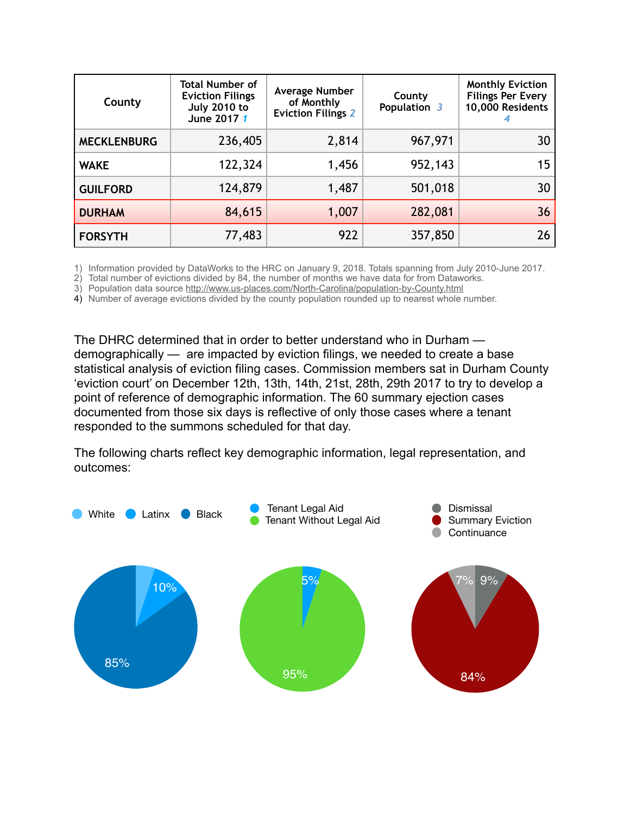| County             | <b>Total Number of</b><br><b>Eviction Filings</b><br><b>July 2010 to</b><br>June 2017 1 | Average Number<br>of Monthly<br><b>Eviction Filings 2</b> | County<br>Population 3 | <b>Monthly Eviction</b><br><b>Filings Per Every</b><br>10,000 Residents |
|--------------------|-----------------------------------------------------------------------------------------|-----------------------------------------------------------|------------------------|-------------------------------------------------------------------------|
| <b>MECKLENBURG</b> | 236,405                                                                                 | 2,814                                                     | 967,971                | 30                                                                      |
| <b>WAKE</b>        | 122,324                                                                                 | 1,456                                                     | 952,143                | 15                                                                      |
| <b>GUILFORD</b>    | 124,879                                                                                 | 1,487                                                     | 501,018                | 30                                                                      |
| <b>DURHAM</b>      | 84,615                                                                                  | 1,007                                                     | 282,081                | 36                                                                      |
| <b>FORSYTH</b>     | 77,483                                                                                  | 922                                                       | 357,850                | 26                                                                      |

1) Information provided by DataWorks to the HRC on January 9, 2018. Totals spanning from July 2010-June 2017.

2) Total number of evictions divided by 84, the number of months we have data for from Dataworks.

3) Population data source <http://www.us-places.com/North-Carolina/population-by-County.html>

4) Number of average evictions divided by the county population rounded up to nearest whole number.

The DHRC determined that in order to better understand who in Durham demographically — are impacted by eviction filings, we needed to create a base statistical analysis of eviction filing cases. Commission members sat in Durham County 'eviction court' on December 12th, 13th, 14th, 21st, 28th, 29th 2017 to try to develop a point of reference of demographic information. The 60 summary ejection cases documented from those six days is reflective of only those cases where a tenant responded to the summons scheduled for that day.

The following charts reflect key demographic information, legal representation, and outcomes:

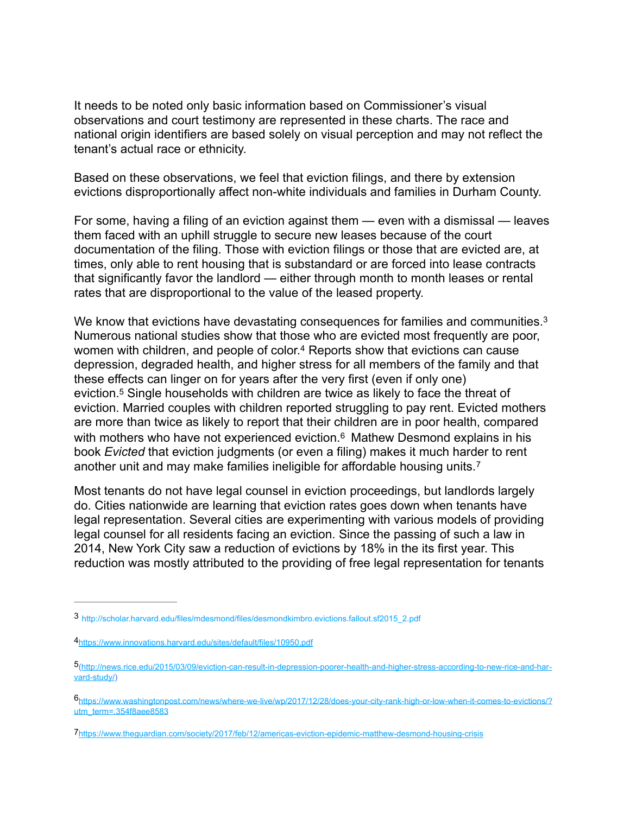It needs to be noted only basic information based on Commissioner's visual observations and court testimony are represented in these charts. The race and national origin identifiers are based solely on visual perception and may not reflect the tenant's actual race or ethnicity.

Based on these observations, we feel that eviction filings, and there by extension evictions disproportionally affect non-white individuals and families in Durham County.

For some, having a filing of an eviction against them — even with a dismissal — leaves them faced with an uphill struggle to secure new leases because of the court documentation of the filing. Those with eviction filings or those that are evicted are, at times, only able to rent housing that is substandard or are forced into lease contracts that significantly favor the landlord — either through month to month leases or rental rates that are disproportional to the value of the leased property.

<span id="page-2-7"></span><span id="page-2-6"></span><span id="page-2-5"></span>We know that evictions have devastating consequences for families and communities.<sup>3</sup> Numerous national studies show that those who are evicted most frequently are poor, women with children, and people of color.<sup>[4](#page-2-1)</sup> Reports show that evictions can cause depression, degraded health, and higher stress for all members of the family and that these effects can linger on for years after the very first (even if only one) eviction[.](#page-2-2)<sup>[5](#page-2-2)</sup> Single households with children are twice as likely to face the threat of eviction. Married couples with children reported struggling to pay rent. Evicted mothers are more than twice as likely to report that their children are in poor health, compared with mothers who have not experienced eviction.<sup>[6](#page-2-3)</sup> Mathew Desmond explains in his book *Evicted* that eviction judgments (or even a filing) makes it much harder to rent another unit and may make families ineligible for affordable housing units. [7](#page-2-4)

<span id="page-2-9"></span><span id="page-2-8"></span>Most tenants do not have legal counsel in eviction proceedings, but landlords largely do. Cities nationwide are learning that eviction rates goes down when tenants have legal representation. Several cities are experimenting with various models of providing legal counsel for all residents facing an eviction. Since the passing of such a law in 2014, New York City saw a reduction of evictions by 18% in the its first year. This reduction was mostly attributed to the providing of free legal representation for tenants

<span id="page-2-0"></span>http://scholar.harvard.edu/files/mdesmond/files/desmondkimbro.evictions.fallout.sf2015\_2.pdf [3](#page-2-5)

<span id="page-2-1"></span>[<sup>4</sup>](#page-2-6)<https://www.innovations.harvard.edu/sites/default/files/10950.pdf>

<span id="page-2-2"></span><sup>&</sup>lt;sup>5</sup>[\(http://news.rice.edu/2015/03/09/eviction-can-result-in-depression-poorer-health-and-higher-stress-according-to-new-rice-and-har](http://news.rice.edu/2015/03/09/eviction-can-result-in-depression-poorer-health-and-higher-stress-according-to-new-rice-and-harvard-study/)[vard-study/\)](http://news.rice.edu/2015/03/09/eviction-can-result-in-depression-poorer-health-and-higher-stress-according-to-new-rice-and-harvard-study/)

<span id="page-2-3"></span>[https://www.washingtonpost.com/news/where-we-live/wp/2017/12/28/does-your-city-rank-high-or-low-when-it-comes-to-evictions/?](https://www.washingtonpost.com/news/where-we-live/wp/2017/12/28/does-your-city-rank-high-or-low-when-it-comes-to-evictions/?utm_term=.354f8aee8583) [6](#page-2-8) [utm\\_term=.354f8aee8583](https://www.washingtonpost.com/news/where-we-live/wp/2017/12/28/does-your-city-rank-high-or-low-when-it-comes-to-evictions/?utm_term=.354f8aee8583)

<span id="page-2-4"></span>[<sup>7</sup>](#page-2-9)<https://www.theguardian.com/society/2017/feb/12/americas-eviction-epidemic-matthew-desmond-housing-crisis>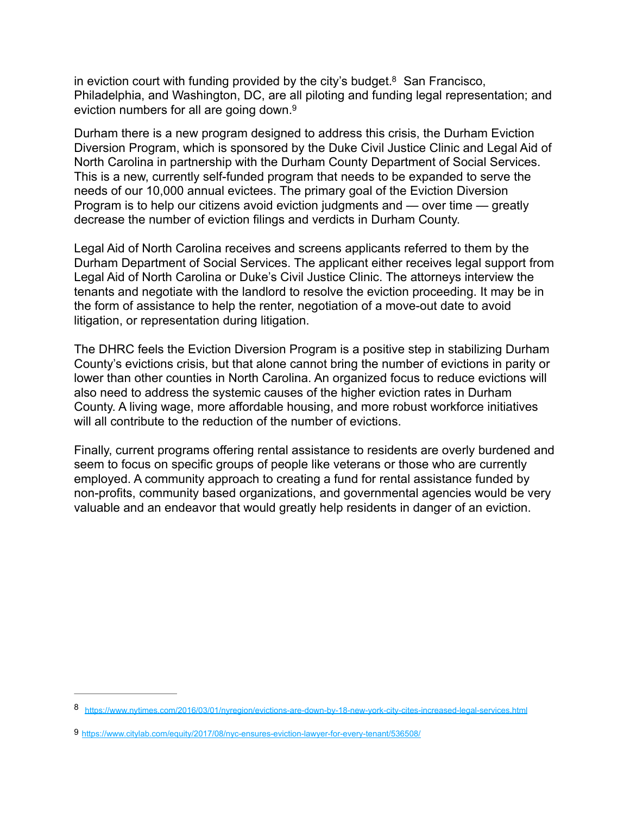<span id="page-3-2"></span>in eviction court with funding provided by the city's budget.<sup>[8](#page-3-0)</sup> San Francisco, Philadelphia, and Washington, DC, are all piloting and funding legal representation; and eviction numbers for all are going down.<sup>9</sup>

<span id="page-3-3"></span>Durham there is a new program designed to address this crisis, the Durham Eviction Diversion Program, which is sponsored by the Duke Civil Justice Clinic and Legal Aid of North Carolina in partnership with the Durham County Department of Social Services. This is a new, currently self-funded program that needs to be expanded to serve the needs of our 10,000 annual evictees. The primary goal of the Eviction Diversion Program is to help our citizens avoid eviction judgments and — over time — greatly decrease the number of eviction filings and verdicts in Durham County.

Legal Aid of North Carolina receives and screens applicants referred to them by the Durham Department of Social Services. The applicant either receives legal support from Legal Aid of North Carolina or Duke's Civil Justice Clinic. The attorneys interview the tenants and negotiate with the landlord to resolve the eviction proceeding. It may be in the form of assistance to help the renter, negotiation of a move-out date to avoid litigation, or representation during litigation.

The DHRC feels the Eviction Diversion Program is a positive step in stabilizing Durham County's evictions crisis, but that alone cannot bring the number of evictions in parity or lower than other counties in North Carolina. An organized focus to reduce evictions will also need to address the systemic causes of the higher eviction rates in Durham County. A living wage, more affordable housing, and more robust workforce initiatives will all contribute to the reduction of the number of evictions.

Finally, current programs offering rental assistance to residents are overly burdened and seem to focus on specific groups of people like veterans or those who are currently employed. A community approach to creating a fund for rental assistance funded by non-profits, community based organizations, and governmental agencies would be very valuable and an endeavor that would greatly help residents in danger of an eviction.

<span id="page-3-0"></span><https://www.nytimes.com/2016/03/01/nyregion/evictions-are-down-by-18-new-york-city-cites-increased-legal-services.html> [8](#page-3-2)

<span id="page-3-1"></span>[<sup>9</sup>](#page-3-3) <https://www.citylab.com/equity/2017/08/nyc-ensures-eviction-lawyer-for-every-tenant/536508/>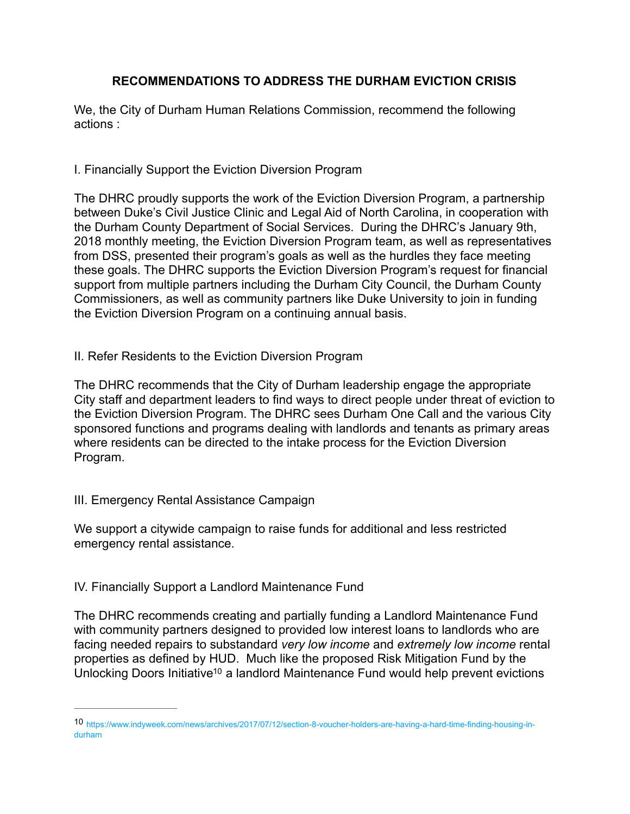# **RECOMMENDATIONS TO ADDRESS THE DURHAM EVICTION CRISIS**

We, the City of Durham Human Relations Commission, recommend the following actions :

## I. Financially Support the Eviction Diversion Program

The DHRC proudly supports the work of the Eviction Diversion Program, a partnership between Duke's Civil Justice Clinic and Legal Aid of North Carolina, in cooperation with the Durham County Department of Social Services. During the DHRC's January 9th, 2018 monthly meeting, the Eviction Diversion Program team, as well as representatives from DSS, presented their program's goals as well as the hurdles they face meeting these goals. The DHRC supports the Eviction Diversion Program's request for financial support from multiple partners including the Durham City Council, the Durham County Commissioners, as well as community partners like Duke University to join in funding the Eviction Diversion Program on a continuing annual basis.

### II. Refer Residents to the Eviction Diversion Program

The DHRC recommends that the City of Durham leadership engage the appropriate City staff and department leaders to find ways to direct people under threat of eviction to the Eviction Diversion Program. The DHRC sees Durham One Call and the various City sponsored functions and programs dealing with landlords and tenants as primary areas where residents can be directed to the intake process for the Eviction Diversion Program.

#### III. Emergency Rental Assistance Campaign

We support a citywide campaign to raise funds for additional and less restricted emergency rental assistance.

## IV. Financially Support a Landlord Maintenance Fund

The DHRC recommends creating and partially funding a Landlord Maintenance Fund with community partners designed to provided low interest loans to landlords who are facing needed repairs to substandard *very low income* and *extremely low income* rental properties as defined by HUD. Much like the proposed Risk Mitigation Fund by the Unlocking Doors Initiativ[e](#page-4-0)<sup>[10](#page-4-0)</sup> a landlord Maintenance Fund would help prevent evictions

<span id="page-4-1"></span><span id="page-4-0"></span>https://www.indyweek.com/news/archives/2017/07/12/section-8-voucher-holders-are-having-a-hard-time-finding-housing-in- [10](#page-4-1) durham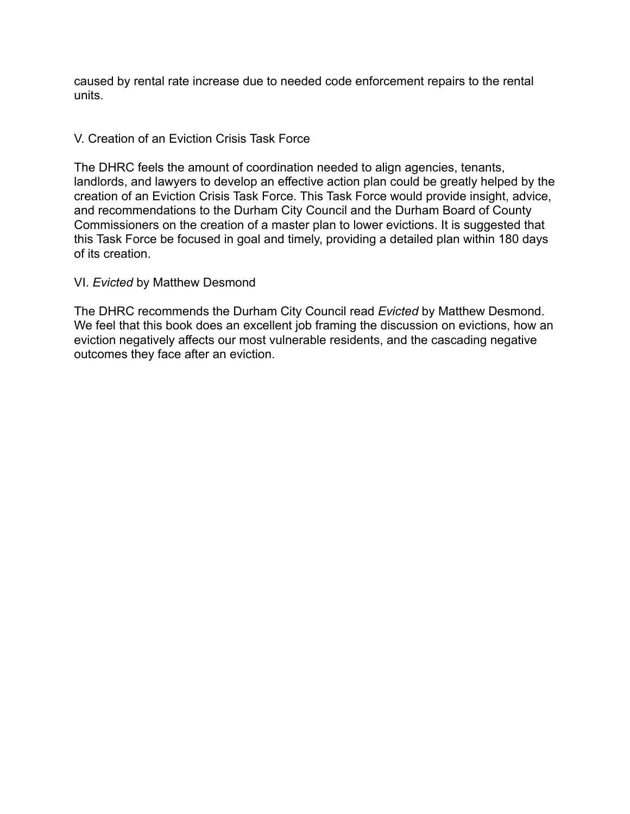caused by rental rate increase due to needed code enforcement repairs to the rental units.

#### V. Creation of an Eviction Crisis Task Force

The DHRC feels the amount of coordination needed to align agencies, tenants, landlords, and lawyers to develop an effective action plan could be greatly helped by the creation of an Eviction Crisis Task Force. This Task Force would provide insight, advice, and recommendations to the Durham City Council and the Durham Board of County Commissioners on the creation of a master plan to lower evictions. It is suggested that this Task Force be focused in goal and timely, providing a detailed plan within 180 days of its creation.

#### VI. *Evicted* by Matthew Desmond

The DHRC recommends the Durham City Council read *Evicted* by Matthew Desmond. We feel that this book does an excellent job framing the discussion on evictions, how an eviction negatively affects our most vulnerable residents, and the cascading negative outcomes they face after an eviction.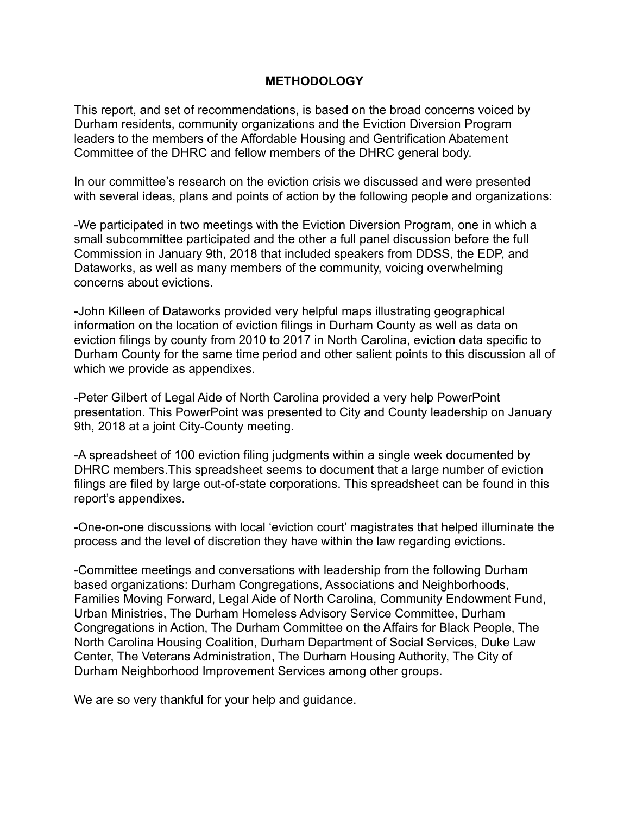### **METHODOLOGY**

This report, and set of recommendations, is based on the broad concerns voiced by Durham residents, community organizations and the Eviction Diversion Program leaders to the members of the Affordable Housing and Gentrification Abatement Committee of the DHRC and fellow members of the DHRC general body.

In our committee's research on the eviction crisis we discussed and were presented with several ideas, plans and points of action by the following people and organizations:

-We participated in two meetings with the Eviction Diversion Program, one in which a small subcommittee participated and the other a full panel discussion before the full Commission in January 9th, 2018 that included speakers from DDSS, the EDP, and Dataworks, as well as many members of the community, voicing overwhelming concerns about evictions.

-John Killeen of Dataworks provided very helpful maps illustrating geographical information on the location of eviction filings in Durham County as well as data on eviction filings by county from 2010 to 2017 in North Carolina, eviction data specific to Durham County for the same time period and other salient points to this discussion all of which we provide as appendixes.

-Peter Gilbert of Legal Aide of North Carolina provided a very help PowerPoint presentation. This PowerPoint was presented to City and County leadership on January 9th, 2018 at a joint City-County meeting.

-A spreadsheet of 100 eviction filing judgments within a single week documented by DHRC members.This spreadsheet seems to document that a large number of eviction filings are filed by large out-of-state corporations. This spreadsheet can be found in this report's appendixes.

-One-on-one discussions with local 'eviction court' magistrates that helped illuminate the process and the level of discretion they have within the law regarding evictions.

-Committee meetings and conversations with leadership from the following Durham based organizations: Durham Congregations, Associations and Neighborhoods, Families Moving Forward, Legal Aide of North Carolina, Community Endowment Fund, Urban Ministries, The Durham Homeless Advisory Service Committee, Durham Congregations in Action, The Durham Committee on the Affairs for Black People, The North Carolina Housing Coalition, Durham Department of Social Services, Duke Law Center, The Veterans Administration, The Durham Housing Authority, The City of Durham Neighborhood Improvement Services among other groups.

We are so very thankful for your help and guidance.